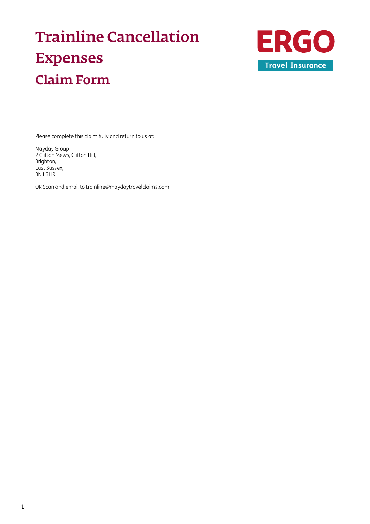# Trainline Cancellation Expenses Claim Form



Please complete this claim fully and return to us at:

Mayday Group 2 Clifton Mews, Clifton Hill, Brighton, East Sussex, BN1 3HR

OR Scan and email to [trainline@maydaytravelclaims.com](mailto:trainline%40maydaytravelclaims.com?subject=)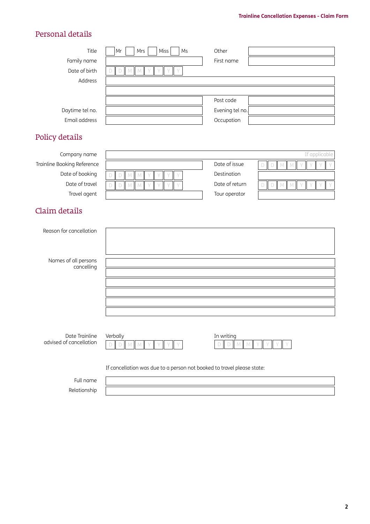## Personal details

| Title                       | <b>Miss</b><br>Mr<br>Mrs<br>Ms                   | Other           |                                   |
|-----------------------------|--------------------------------------------------|-----------------|-----------------------------------|
| Family name                 |                                                  | First name      |                                   |
| Date of birth               | M<br>$\setminus$<br>M                            |                 |                                   |
| Address                     |                                                  |                 |                                   |
|                             |                                                  |                 |                                   |
|                             |                                                  | Post code       |                                   |
| Daytime tel no.             |                                                  | Evening tel no. |                                   |
| Email address               |                                                  | Occupation      |                                   |
| Policy details              |                                                  |                 |                                   |
| Company name                |                                                  |                 | If applicable                     |
| Trainline Booking Reference |                                                  | Date of issue   | $\Box$<br>D<br>M                  |
| Date of booking             | M<br>$\setminus$<br>D<br>M                       | Destination     |                                   |
| Date of travel              | M M<br>$\vee$<br>D<br>$\vee$<br>$\vee$<br>$\vee$ | Date of return  | $\Box$<br>$DM$ $M$<br>$\vee$<br>V |
| Travel agent                |                                                  | Tour operator   |                                   |

## Claim details

| Reason for cancellation                   |                                                                        |                            |  |  |  |
|-------------------------------------------|------------------------------------------------------------------------|----------------------------|--|--|--|
| Names of all persons<br>cancelling        |                                                                        |                            |  |  |  |
|                                           |                                                                        |                            |  |  |  |
| Date Trainline<br>advised of cancellation | Verbally<br>D<br>D<br>M<br>M                                           | In writing<br>D<br>M<br>D. |  |  |  |
|                                           | If cancellation was due to a person not booked to travel please state: |                            |  |  |  |

Full name Relationship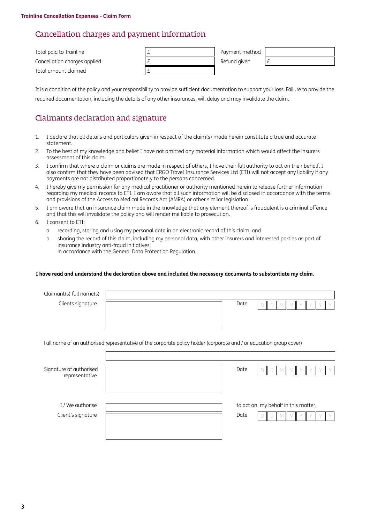## Cancellation charges and payment information

| Total paid to Trainline      | Payment method |  |
|------------------------------|----------------|--|
| Cancellation charges applied | Refund given   |  |
| Total amount claimed         |                |  |

It is a condition of the policy and your responsibility to provide sufficient documentation to support your loss. Failure to provide the required documentation, including the details of any other insurances, will delay and may invalidate the claim.

## Claimants declaration and signature

- 1. I declare that all details and particulars given in respect of the claim(s) made herein constitute a true and accurate statement.
- 2. To the best of my knowledge and belief I have not omitted any material information which would affect the insurers assessment of this claim.
- 3. I confirm that where a claim or claims are made in respect of others, I have their full authority to act on their behalf. I also confirm that they have been advised that ERGO Travel Insurance Services Ltd (ETI) will not accept any liability if any payments are not distributed proportionately to the persons concerned.
- 4. I hereby give my permission for any medical practitioner or authority mentioned herein to release further information regarding my medical records to ETI. I am aware that all such information will be disclosed in accordance with the terms and provisions of the Access to Medical Records Act (AMRA) or other similar legislation.
- 5. I am aware that an insurance claim made in the knowledge that any element thereof is fraudulent is a criminal offence and that this will invalidate the policy and will render me liable to prosecution.
- 6. I consent to ETI:
	- a. recording, storing and using my personal data in an electronic record of this claim; and
	- b. sharing the record of this claim, including my personal data, with other insurers and interested parties as part of insurance industry anti-fraud initiatives; in accordance with the General Data Protection Regulation.

#### **I have read and understand the declaration above and included the necessary documents to substantiate my claim.**

| Claimant(s) full name(s) |                                                                                                                     |                                     |
|--------------------------|---------------------------------------------------------------------------------------------------------------------|-------------------------------------|
| Clients signature        | Date                                                                                                                |                                     |
|                          |                                                                                                                     |                                     |
|                          |                                                                                                                     |                                     |
|                          | Full name of an authorised representative of the corporate policy holder (corporate and / or education group cover) |                                     |
|                          |                                                                                                                     |                                     |
|                          |                                                                                                                     |                                     |
| Signature of authorised  | Date                                                                                                                |                                     |
| representative           |                                                                                                                     |                                     |
|                          |                                                                                                                     |                                     |
| I / We authorise         |                                                                                                                     | to act on my behalf in this matter. |
| Client's signature       | Date                                                                                                                |                                     |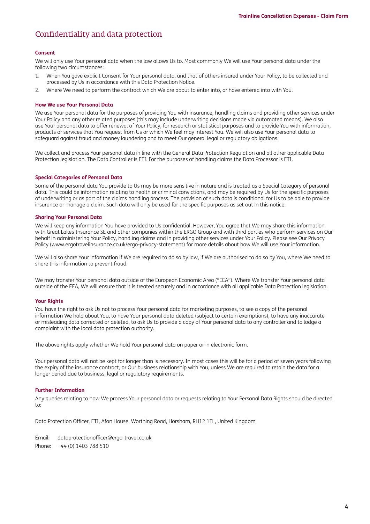## Confidentiality and data protection

#### **Consent**

We will only use Your personal data when the law allows Us to. Most commonly We will use Your personal data under the following two circumstances:

- 1. When You gave explicit Consent for Your personal data, and that of others insured under Your Policy, to be collected and processed by Us in accordance with this Data Protection Notice.
- 2. Where We need to perform the contract which We are about to enter into, or have entered into with You.

#### **How We use Your Personal Data**

We use Your personal data for the purposes of providing You with insurance, handling claims and providing other services under Your Policy and any other related purposes (this may include underwriting decisions made via automated means). We also use Your personal data to offer renewal of Your Policy, for research or statistical purposes and to provide You with information, products or services that You request from Us or which We feel may interest You. We will also use Your personal data to safeguard against fraud and money laundering and to meet Our general legal or regulatory obligations.

We collect and process Your personal data in line with the General Data Protection Regulation and all other applicable Data Protection legislation. The Data Controller is ETI. For the purposes of handling claims the Data Processor is ETI.

#### **Special Categories of Personal Data**

Some of the personal data You provide to Us may be more sensitive in nature and is treated as a Special Category of personal data. This could be information relating to health or criminal convictions, and may be required by Us for the specific purposes of underwriting or as part of the claims handling process. The provision of such data is conditional for Us to be able to provide insurance or manage a claim. Such data will only be used for the specific purposes as set out in this notice.

#### **Sharing Your Personal Data**

We will keep any information You have provided to Us confidential. However, You agree that We may share this information with Great Lakes Insurance SE and other companies within the ERGO Group and with third parties who perform services on Our behalf in administering Your Policy, handling claims and in providing other services under Your Policy. Please see Our Privacy Policy [\(www.ergotravelinsurance.co.uk/ergo-privacy-statement](http://www.ergotravelinsurance.co.uk/ergo-privacy-statement)) for more details about how We will use Your information.

We will also share Your information if We are required to do so by law, if We are authorised to do so by You, where We need to share this information to prevent fraud.

We may transfer Your personal data outside of the European Economic Area ("EEA"). Where We transfer Your personal data outside of the EEA, We will ensure that it is treated securely and in accordance with all applicable Data Protection legislation.

#### **Your Rights**

You have the right to ask Us not to process Your personal data for marketing purposes, to see a copy of the personal information We hold about You, to have Your personal data deleted (subject to certain exemptions), to have any inaccurate or misleading data corrected or deleted, to ask Us to provide a copy of Your personal data to any controller and to lodge a complaint with the local data protection authority.

The above rights apply whether We hold Your personal data on paper or in electronic form.

Your personal data will not be kept for longer than is necessary. In most cases this will be for a period of seven years following the expiry of the insurance contract, or Our business relationship with You, unless We are required to retain the data for a longer period due to business, legal or regulatory requirements.

#### **Further Information**

Any queries relating to how We process Your personal data or requests relating to Your Personal Data Rights should be directed to:

Data Protection Officer, ETI, Afon House, Worthing Road, Horsham, RH12 1TL, United Kingdom

Email: [dataprotectionofficer@ergo-travel.co.uk](mailto:dataprotectionofficer%40ergo-travel.co.uk?subject=) Phone: +44 (0) 1403 788 510